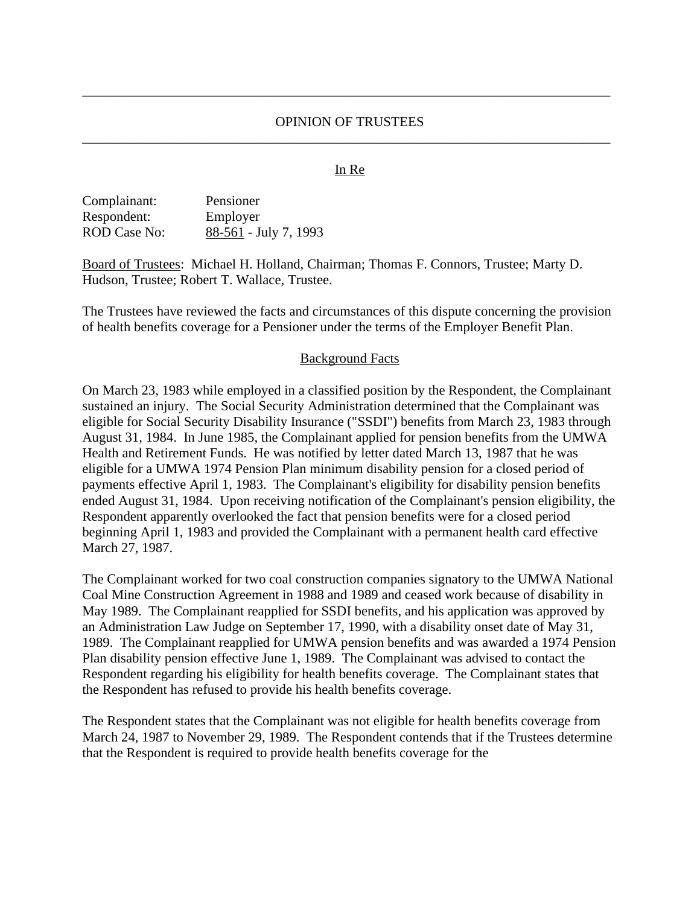## OPINION OF TRUSTEES \_\_\_\_\_\_\_\_\_\_\_\_\_\_\_\_\_\_\_\_\_\_\_\_\_\_\_\_\_\_\_\_\_\_\_\_\_\_\_\_\_\_\_\_\_\_\_\_\_\_\_\_\_\_\_\_\_\_\_\_\_\_\_\_\_\_\_\_\_\_\_\_\_\_\_\_\_

\_\_\_\_\_\_\_\_\_\_\_\_\_\_\_\_\_\_\_\_\_\_\_\_\_\_\_\_\_\_\_\_\_\_\_\_\_\_\_\_\_\_\_\_\_\_\_\_\_\_\_\_\_\_\_\_\_\_\_\_\_\_\_\_\_\_\_\_\_\_\_\_\_\_\_\_\_

#### In Re

| Complainant: | Pensioner               |
|--------------|-------------------------|
| Respondent:  | Employer                |
| ROD Case No: | $88-561$ - July 7, 1993 |

Board of Trustees: Michael H. Holland, Chairman; Thomas F. Connors, Trustee; Marty D. Hudson, Trustee; Robert T. Wallace, Trustee.

The Trustees have reviewed the facts and circumstances of this dispute concerning the provision of health benefits coverage for a Pensioner under the terms of the Employer Benefit Plan.

#### Background Facts

On March 23, 1983 while employed in a classified position by the Respondent, the Complainant sustained an injury. The Social Security Administration determined that the Complainant was eligible for Social Security Disability Insurance ("SSDI") benefits from March 23, 1983 through August 31, 1984. In June 1985, the Complainant applied for pension benefits from the UMWA Health and Retirement Funds. He was notified by letter dated March 13, 1987 that he was eligible for a UMWA 1974 Pension Plan minimum disability pension for a closed period of payments effective April 1, 1983. The Complainant's eligibility for disability pension benefits ended August 31, 1984. Upon receiving notification of the Complainant's pension eligibility, the Respondent apparently overlooked the fact that pension benefits were for a closed period beginning April 1, 1983 and provided the Complainant with a permanent health card effective March 27, 1987.

The Complainant worked for two coal construction companies signatory to the UMWA National Coal Mine Construction Agreement in 1988 and 1989 and ceased work because of disability in May 1989. The Complainant reapplied for SSDI benefits, and his application was approved by an Administration Law Judge on September 17, 1990, with a disability onset date of May 31, 1989. The Complainant reapplied for UMWA pension benefits and was awarded a 1974 Pension Plan disability pension effective June 1, 1989. The Complainant was advised to contact the Respondent regarding his eligibility for health benefits coverage. The Complainant states that the Respondent has refused to provide his health benefits coverage.

The Respondent states that the Complainant was not eligible for health benefits coverage from March 24, 1987 to November 29, 1989. The Respondent contends that if the Trustees determine that the Respondent is required to provide health benefits coverage for the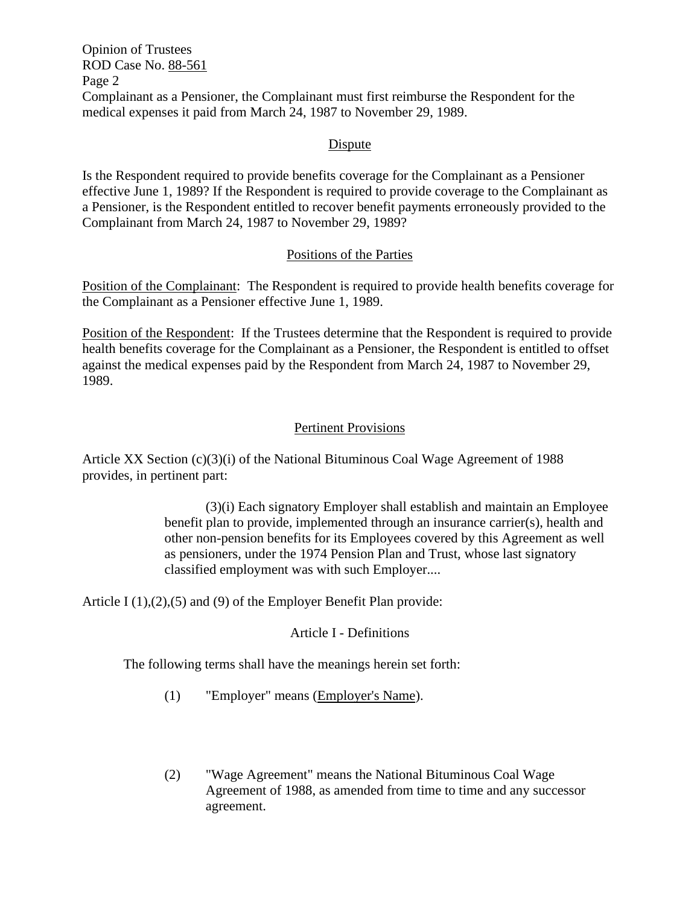Opinion of Trustees ROD Case No. 88-561 Page 2 Complainant as a Pensioner, the Complainant must first reimburse the Respondent for the medical expenses it paid from March 24, 1987 to November 29, 1989.

## Dispute

Is the Respondent required to provide benefits coverage for the Complainant as a Pensioner effective June 1, 1989? If the Respondent is required to provide coverage to the Complainant as a Pensioner, is the Respondent entitled to recover benefit payments erroneously provided to the Complainant from March 24, 1987 to November 29, 1989?

# Positions of the Parties

Position of the Complainant: The Respondent is required to provide health benefits coverage for the Complainant as a Pensioner effective June 1, 1989.

Position of the Respondent: If the Trustees determine that the Respondent is required to provide health benefits coverage for the Complainant as a Pensioner, the Respondent is entitled to offset against the medical expenses paid by the Respondent from March 24, 1987 to November 29, 1989.

# Pertinent Provisions

Article XX Section (c)(3)(i) of the National Bituminous Coal Wage Agreement of 1988 provides, in pertinent part:

> (3)(i) Each signatory Employer shall establish and maintain an Employee benefit plan to provide, implemented through an insurance carrier(s), health and other non-pension benefits for its Employees covered by this Agreement as well as pensioners, under the 1974 Pension Plan and Trust, whose last signatory classified employment was with such Employer....

Article I (1), (2), (5) and (9) of the Employer Benefit Plan provide:

## Article I - Definitions

The following terms shall have the meanings herein set forth:

- (1) "Employer" means (Employer's Name).
- (2) "Wage Agreement" means the National Bituminous Coal Wage Agreement of 1988, as amended from time to time and any successor agreement.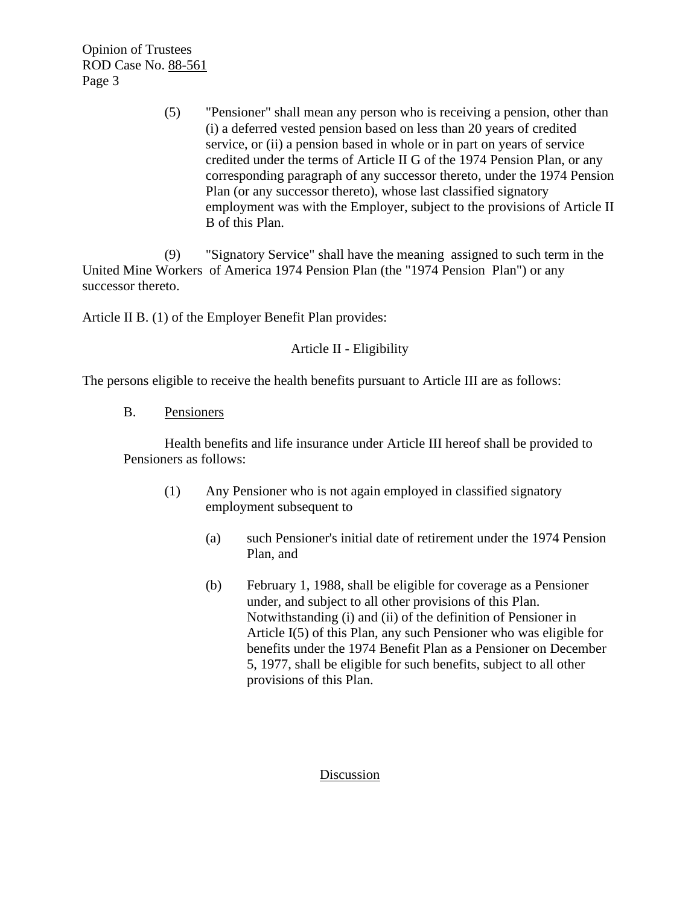Opinion of Trustees ROD Case No. 88-561 Page 3

> (5) "Pensioner" shall mean any person who is receiving a pension, other than (i) a deferred vested pension based on less than 20 years of credited service, or (ii) a pension based in whole or in part on years of service credited under the terms of Article II G of the 1974 Pension Plan, or any corresponding paragraph of any successor thereto, under the 1974 Pension Plan (or any successor thereto), whose last classified signatory employment was with the Employer, subject to the provisions of Article II B of this Plan.

(9) "Signatory Service" shall have the meaning assigned to such term in the United Mine Workers of America 1974 Pension Plan (the "1974 Pension Plan") or any successor thereto.

Article II B. (1) of the Employer Benefit Plan provides:

Article II - Eligibility

The persons eligible to receive the health benefits pursuant to Article III are as follows:

B. Pensioners

Health benefits and life insurance under Article III hereof shall be provided to Pensioners as follows:

- (1) Any Pensioner who is not again employed in classified signatory employment subsequent to
	- (a) such Pensioner's initial date of retirement under the 1974 Pension Plan, and
	- (b) February 1, 1988, shall be eligible for coverage as a Pensioner under, and subject to all other provisions of this Plan. Notwithstanding (i) and (ii) of the definition of Pensioner in Article I(5) of this Plan, any such Pensioner who was eligible for benefits under the 1974 Benefit Plan as a Pensioner on December 5, 1977, shall be eligible for such benefits, subject to all other provisions of this Plan.

## Discussion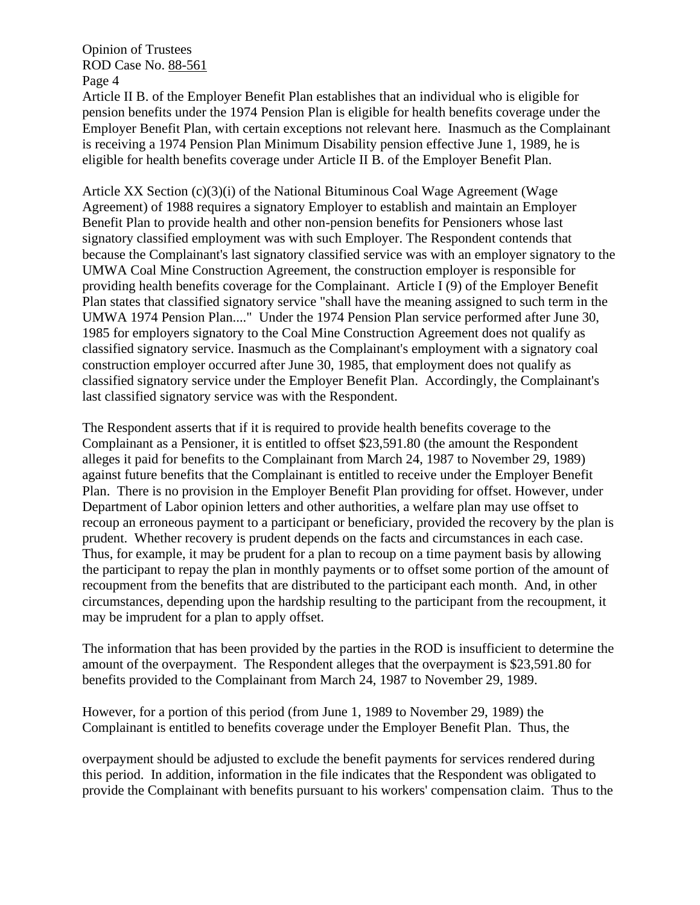Opinion of Trustees ROD Case No. 88-561 Page 4

Article II B. of the Employer Benefit Plan establishes that an individual who is eligible for pension benefits under the 1974 Pension Plan is eligible for health benefits coverage under the Employer Benefit Plan, with certain exceptions not relevant here. Inasmuch as the Complainant is receiving a 1974 Pension Plan Minimum Disability pension effective June 1, 1989, he is eligible for health benefits coverage under Article II B. of the Employer Benefit Plan.

Article  $XX$  Section  $(c)(3)(i)$  of the National Bituminous Coal Wage Agreement (Wage Agreement) of 1988 requires a signatory Employer to establish and maintain an Employer Benefit Plan to provide health and other non-pension benefits for Pensioners whose last signatory classified employment was with such Employer. The Respondent contends that because the Complainant's last signatory classified service was with an employer signatory to the UMWA Coal Mine Construction Agreement, the construction employer is responsible for providing health benefits coverage for the Complainant. Article I (9) of the Employer Benefit Plan states that classified signatory service "shall have the meaning assigned to such term in the UMWA 1974 Pension Plan...." Under the 1974 Pension Plan service performed after June 30, 1985 for employers signatory to the Coal Mine Construction Agreement does not qualify as classified signatory service. Inasmuch as the Complainant's employment with a signatory coal construction employer occurred after June 30, 1985, that employment does not qualify as classified signatory service under the Employer Benefit Plan. Accordingly, the Complainant's last classified signatory service was with the Respondent.

The Respondent asserts that if it is required to provide health benefits coverage to the Complainant as a Pensioner, it is entitled to offset \$23,591.80 (the amount the Respondent alleges it paid for benefits to the Complainant from March 24, 1987 to November 29, 1989) against future benefits that the Complainant is entitled to receive under the Employer Benefit Plan. There is no provision in the Employer Benefit Plan providing for offset. However, under Department of Labor opinion letters and other authorities, a welfare plan may use offset to recoup an erroneous payment to a participant or beneficiary, provided the recovery by the plan is prudent. Whether recovery is prudent depends on the facts and circumstances in each case. Thus, for example, it may be prudent for a plan to recoup on a time payment basis by allowing the participant to repay the plan in monthly payments or to offset some portion of the amount of recoupment from the benefits that are distributed to the participant each month. And, in other circumstances, depending upon the hardship resulting to the participant from the recoupment, it may be imprudent for a plan to apply offset.

The information that has been provided by the parties in the ROD is insufficient to determine the amount of the overpayment. The Respondent alleges that the overpayment is \$23,591.80 for benefits provided to the Complainant from March 24, 1987 to November 29, 1989.

However, for a portion of this period (from June 1, 1989 to November 29, 1989) the Complainant is entitled to benefits coverage under the Employer Benefit Plan. Thus, the

overpayment should be adjusted to exclude the benefit payments for services rendered during this period. In addition, information in the file indicates that the Respondent was obligated to provide the Complainant with benefits pursuant to his workers' compensation claim. Thus to the